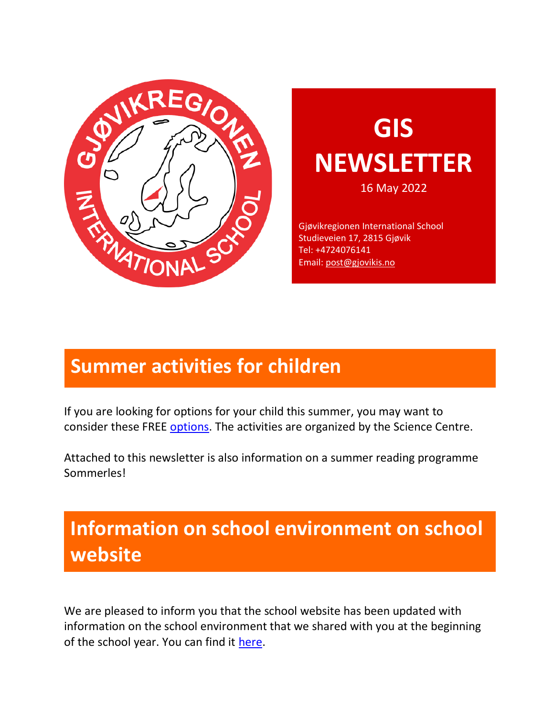

# **GIS NEWSLETTER**

16 May 2022

Gjøvikregionen International School Studieveien 17, 2815 Gjøvik Tel: +4724076141 Email: [post@gjovikis.no](mailto:post@gjovikis.no)

# **Summer activities for children**

If you are looking for options for your child this summer, you may want to consider these FREE [options.](https://vitensenteret.no/sommer-x) The activities are organized by the Science Centre.

Attached to this newsletter is also information on a summer reading programme Sommerles!

# **Information on school environment on school website**

We are pleased to inform you that the school website has been updated with information on the school environment that we shared with you at the beginning of the school year. You can find it [here.](http://www.gjovikis.no/school-environment/)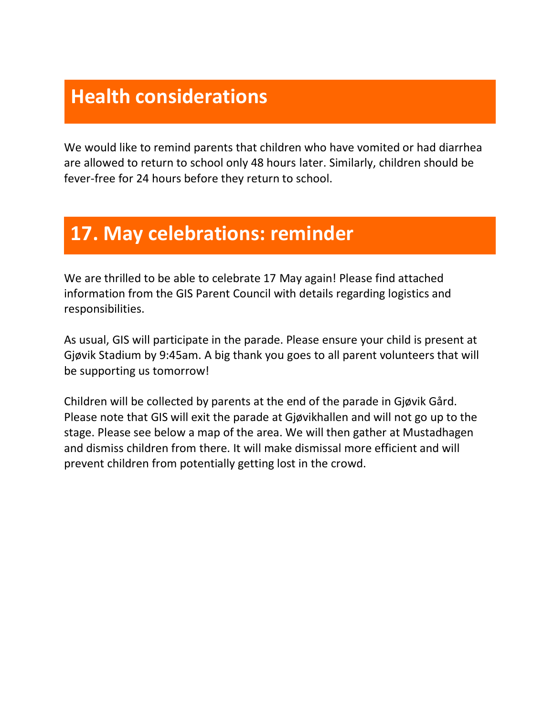## **Health considerations**

We would like to remind parents that children who have vomited or had diarrhea are allowed to return to school only 48 hours later. Similarly, children should be fever-free for 24 hours before they return to school.

#### **17. May celebrations: reminder**

We are thrilled to be able to celebrate 17 May again! Please find attached information from the GIS Parent Council with details regarding logistics and responsibilities.

As usual, GIS will participate in the parade. Please ensure your child is present at Gjøvik Stadium by 9:45am. A big thank you goes to all parent volunteers that will be supporting us tomorrow!

Children will be collected by parents at the end of the parade in Gjøvik Gård. Please note that GIS will exit the parade at Gjøvikhallen and will not go up to the stage. Please see below a map of the area. We will then gather at Mustadhagen and dismiss children from there. It will make dismissal more efficient and will prevent children from potentially getting lost in the crowd.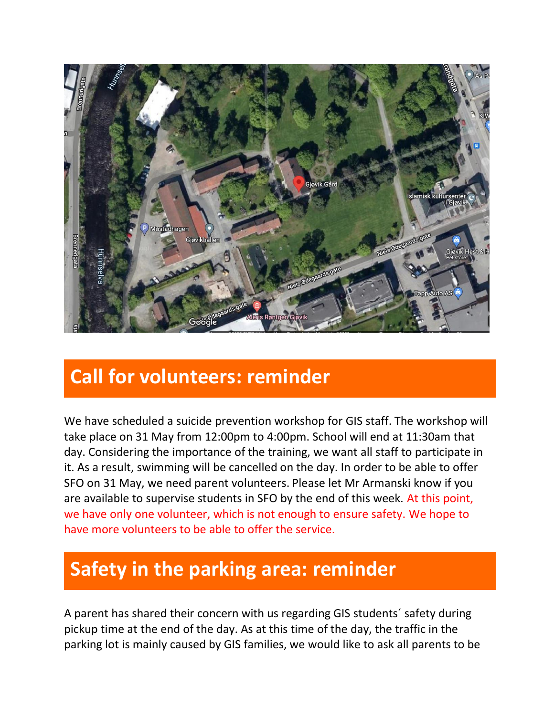

## **Call for volunteers: reminder**

We have scheduled a suicide prevention workshop for GIS staff. The workshop will take place on 31 May from 12:00pm to 4:00pm. School will end at 11:30am that day. Considering the importance of the training, we want all staff to participate in it. As a result, swimming will be cancelled on the day. In order to be able to offer SFO on 31 May, we need parent volunteers. Please let Mr Armanski know if you are available to supervise students in SFO by the end of this week. At this point, we have only one volunteer, which is not enough to ensure safety. We hope to have more volunteers to be able to offer the service.

# **Safety in the parking area: reminder**

A parent has shared their concern with us regarding GIS students´ safety during pickup time at the end of the day. As at this time of the day, the traffic in the parking lot is mainly caused by GIS families, we would like to ask all parents to be